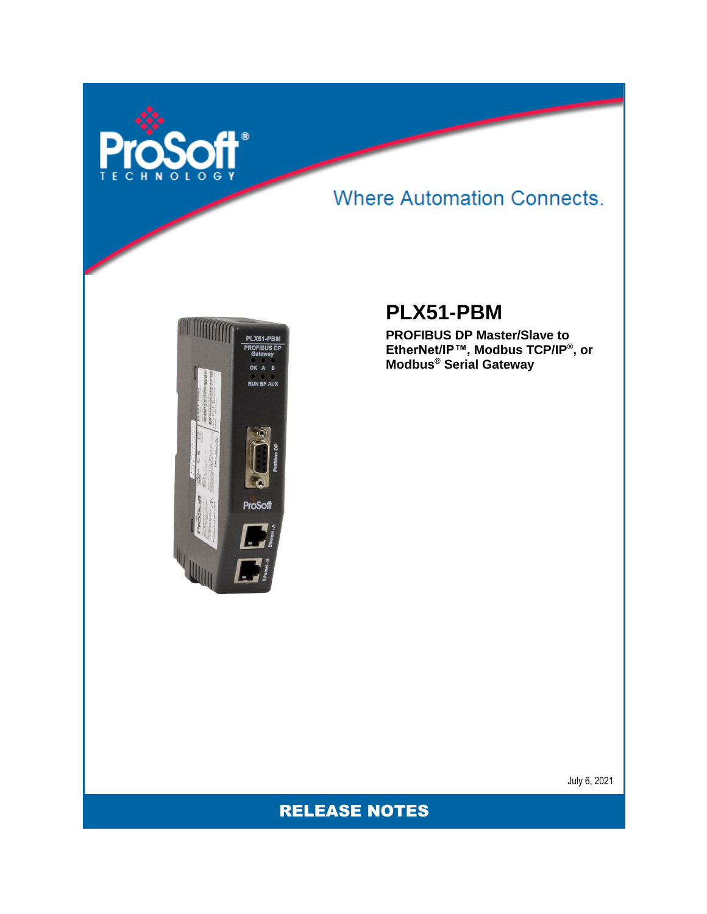

## **Where Automation Connects.**



### **PLX51-PBM**

**PROFIBUS DP Master/Slave to EtherNet/IP™, Modbus TCP/IP® , or Modbus® Serial Gateway**

July 6, 2021

RELEASE NOTES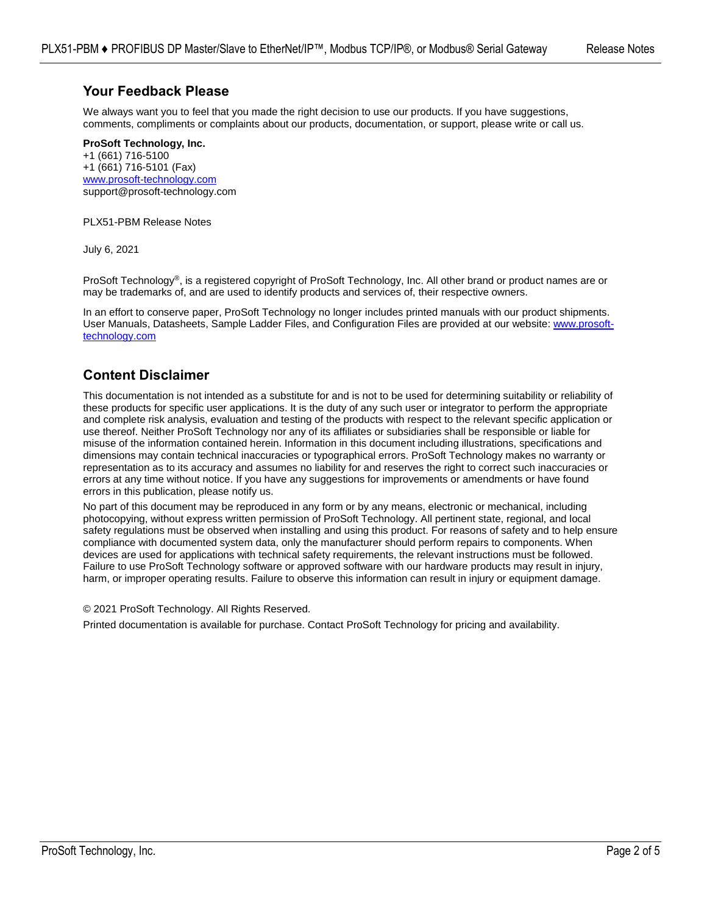#### **Your Feedback Please**

We always want you to feel that you made the right decision to use our products. If you have suggestions, comments, compliments or complaints about our products, documentation, or support, please write or call us.

**ProSoft Technology, Inc.** +1 (661) 716-5100 +1 (661) 716-5101 (Fax) [www.prosoft-technology.com](http://www.prosoft-technology.com/) support@prosoft-technology.com

PLX51-PBM Release Notes

July 6, 2021

ProSoft Technology®, is a registered copyright of ProSoft Technology, Inc. All other brand or product names are or may be trademarks of, and are used to identify products and services of, their respective owners.

In an effort to conserve paper, ProSoft Technology no longer includes printed manuals with our product shipments. User Manuals, Datasheets, Sample Ladder Files, and Configuration Files are provided at our website: [www.prosoft](http://www.prosoft-technology.com/)[technology.com](http://www.prosoft-technology.com/)

#### **Content Disclaimer**

This documentation is not intended as a substitute for and is not to be used for determining suitability or reliability of these products for specific user applications. It is the duty of any such user or integrator to perform the appropriate and complete risk analysis, evaluation and testing of the products with respect to the relevant specific application or use thereof. Neither ProSoft Technology nor any of its affiliates or subsidiaries shall be responsible or liable for misuse of the information contained herein. Information in this document including illustrations, specifications and dimensions may contain technical inaccuracies or typographical errors. ProSoft Technology makes no warranty or representation as to its accuracy and assumes no liability for and reserves the right to correct such inaccuracies or errors at any time without notice. If you have any suggestions for improvements or amendments or have found errors in this publication, please notify us.

No part of this document may be reproduced in any form or by any means, electronic or mechanical, including photocopying, without express written permission of ProSoft Technology. All pertinent state, regional, and local safety regulations must be observed when installing and using this product. For reasons of safety and to help ensure compliance with documented system data, only the manufacturer should perform repairs to components. When devices are used for applications with technical safety requirements, the relevant instructions must be followed. Failure to use ProSoft Technology software or approved software with our hardware products may result in injury, harm, or improper operating results. Failure to observe this information can result in injury or equipment damage.

© 2021 ProSoft Technology. All Rights Reserved.

Printed documentation is available for purchase. Contact ProSoft Technology for pricing and availability.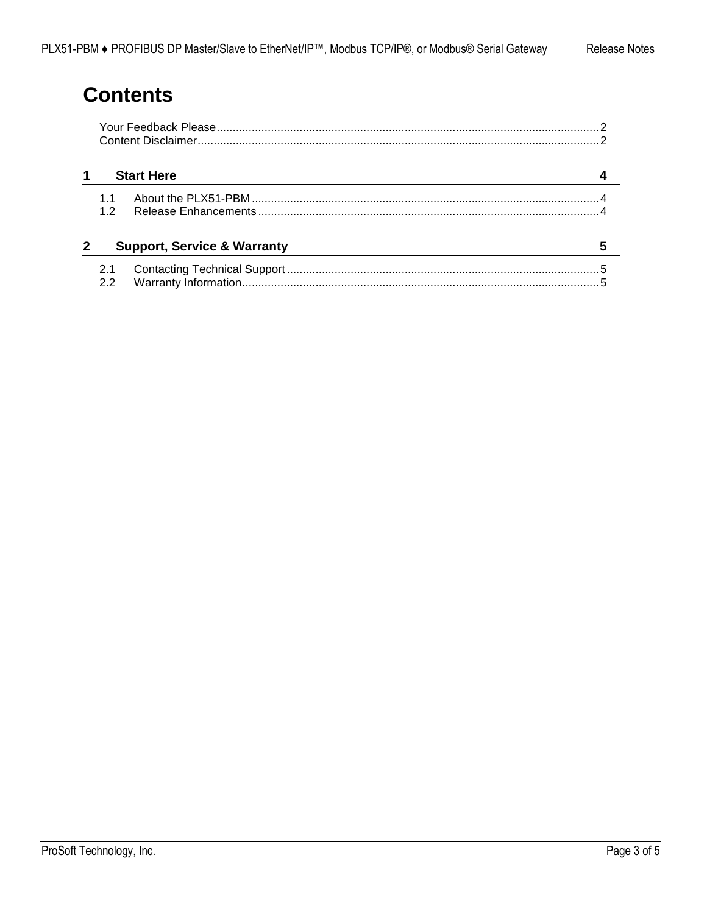# **Contents**

| <b>Start Here</b>                      |  |  |  |
|----------------------------------------|--|--|--|
| 12                                     |  |  |  |
| <b>Support, Service &amp; Warranty</b> |  |  |  |
| 2.1<br>2.2                             |  |  |  |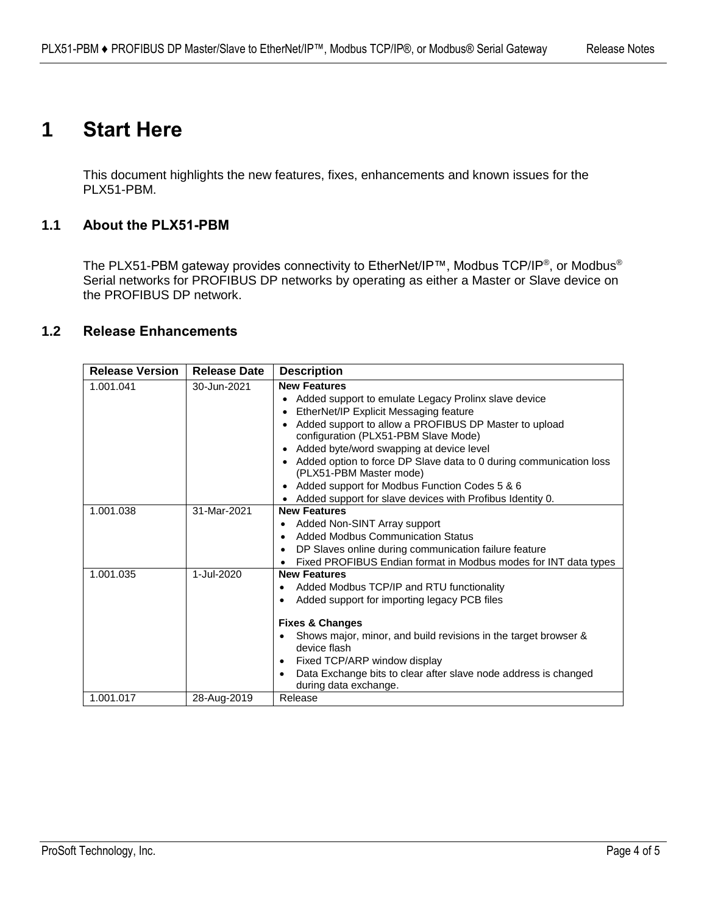## **1 Start Here**

This document highlights the new features, fixes, enhancements and known issues for the PLX51-PBM.

### **1.1 About the PLX51-PBM**

The PLX51-PBM gateway provides connectivity to EtherNet/IP™, Modbus TCP/IP®, or Modbus® Serial networks for PROFIBUS DP networks by operating as either a Master or Slave device on the PROFIBUS DP network.

#### **1.2 Release Enhancements**

| <b>Release Version</b> | <b>Release Date</b> | <b>Description</b>                                                                                    |
|------------------------|---------------------|-------------------------------------------------------------------------------------------------------|
| 1.001.041              | 30-Jun-2021         | <b>New Features</b>                                                                                   |
|                        |                     | Added support to emulate Legacy Prolinx slave device                                                  |
|                        |                     | EtherNet/IP Explicit Messaging feature<br>$\bullet$                                                   |
|                        |                     | Added support to allow a PROFIBUS DP Master to upload<br>configuration (PLX51-PBM Slave Mode)         |
|                        |                     | Added byte/word swapping at device level<br>$\bullet$                                                 |
|                        |                     | Added option to force DP Slave data to 0 during communication loss<br>(PLX51-PBM Master mode)         |
|                        |                     | Added support for Modbus Function Codes 5 & 6<br>$\bullet$                                            |
|                        |                     | Added support for slave devices with Profibus Identity 0.                                             |
| 1.001.038              | 31-Mar-2021         | <b>New Features</b>                                                                                   |
|                        |                     | Added Non-SINT Array support<br>$\bullet$                                                             |
|                        |                     | <b>Added Modbus Communication Status</b><br>$\bullet$                                                 |
|                        |                     | DP Slaves online during communication failure feature<br>$\bullet$                                    |
|                        |                     | Fixed PROFIBUS Endian format in Modbus modes for INT data types                                       |
| 1.001.035              | 1-Jul-2020          | <b>New Features</b>                                                                                   |
|                        |                     | Added Modbus TCP/IP and RTU functionality<br>٠                                                        |
|                        |                     | Added support for importing legacy PCB files<br>٠                                                     |
|                        |                     | <b>Fixes &amp; Changes</b>                                                                            |
|                        |                     | Shows major, minor, and build revisions in the target browser &<br>$\bullet$<br>device flash          |
|                        |                     | Fixed TCP/ARP window display<br>٠                                                                     |
|                        |                     | Data Exchange bits to clear after slave node address is changed<br>$\bullet$<br>during data exchange. |
| 1.001.017              | 28-Aug-2019         | Release                                                                                               |